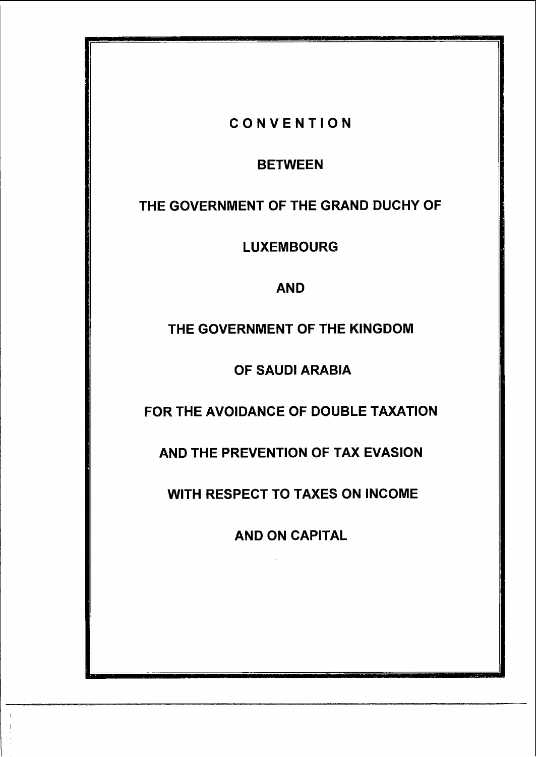# **CONVENTION**

# **BETWEEN**

# **THE GOVERNMENT OF THE GRAND DUCHY OF**

**LUXEMBOURG** 

**AND** 

# **THE GOVERNMENT OF THE KINGDOM**

**OF SAUDI ARABIA** 

**FOR THE AVOIDANCE OF DOUBLE TAXATION** 

**AND THE PREVENTION OF TAX EVASION** 

**WITH RESPECT TO TAXES ON INCOME** 

**AND ON CAPITAL** 

416."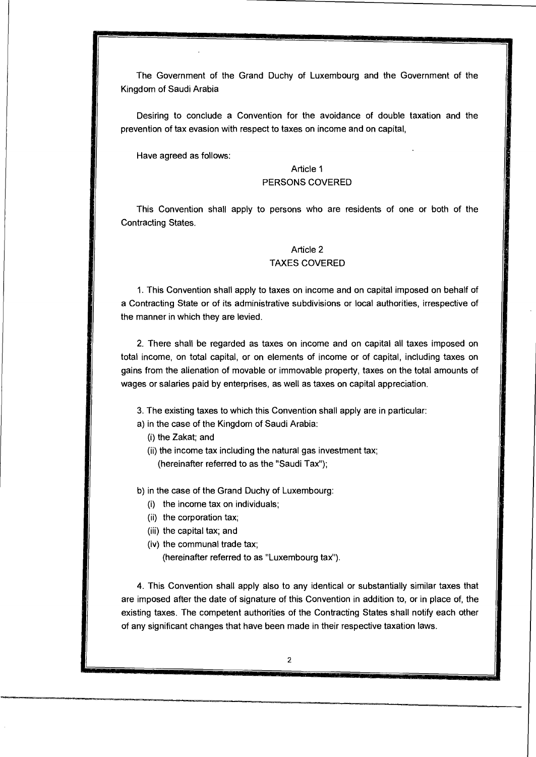The Government of the Grand Duchy of Luxembourg and the Government of the Kingdom of Saudi Arabia

Desiring to conclude a Convention for the avoidance of double taxation and the prevention of tax evasion with respect to taxes on income and on capital,

Have agreed as follows:

#### Article <sup>1</sup> PERSONS COVERED

This Convention shall apply to persons who are residents of one or both of the Contracting States.

# Article 2

### TAXES COVERED

1. This Convention shall apply to taxes on income and on capital imposed on behalf of a Contracting State or of its administrative subdivisions or local authorities, irrespective of the manner in which they are levied.

2. There shall be regarded as taxes on income and on capital all taxes imposed on total income, on total capital, or on elements of income or of capital, including taxes on gains from the alienation of movable or immovable property, taxes on the total amounts of wages or salaries paid by enterprises, as well as taxes on capital appreciation.

3. The existing taxes to which this Convention shall apply are in particular:

a) in the case of the Kingdom of Saudi Arabia:

(i) the Zakat; and

(ii) the income tax including the natural gas investment tax; (hereinafter referred to as the "Saudi Tax");

b) in the case of the Grand Duchy of Luxembourg:

- (i) the income tax on individuals;
- (ii) the corporation tax;
- (iii) the capital tax; and
- (iv) the communal trade tax; (hereinafter referred to as "Luxembourg tax").

4. This Convention shall apply also to any identical or substantially similar taxes that are imposed after the date of signature of this Convention in addition to, or in place of, the existing taxes. The competent authorities of the Contracting States shall notify each other of any significant changes that have been made in their respective taxation laws.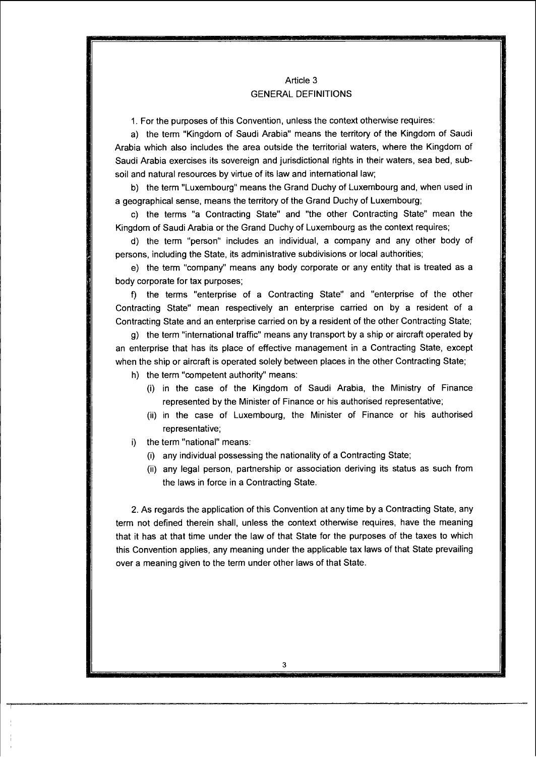# Article 3 GENERAL DEFINITIONS

1. For the purposes of this Convention, unless the context otherwise requires:

a) the term "Kingdom of Saudi Arabia" means the territory of the Kingdom of Saudi Arabia which also includes the area outside the territorial waters, where the Kingdom of Saudi Arabia exercises its sovereign and jurisdictional rights in their waters, sea bed, subsoil and natural resources by virtue of its law and international law;

b) the term "Luxembourg" means the Grand Duchy of Luxembourg and, when used in a geographical sense, means the territory of the Grand Duchy of Luxembourg;

c) the terms "a Contracting State" and "the other Contracting State" mean the Kingdom of Saudi Arabia or the Grand Duchy of Luxembourg as the context requires;

d) the term "person" includes an individual, a company and any other body of persons, including the State, its administrative subdivisions or local authorities;

e) the term "company" means any body corporate or any entity that is treated as a body corporate for tax purposes;

f) the terms "enterprise of a Contracting State" and "enterprise of the other Contracting State" mean respectively an enterprise carried on by a resident of a Contracting State and an enterprise carried on by a resident of the other Contracting State;

g) the term "international traffic" means any transport by a ship or aircraft operated by an enterprise that has its place of effective management in a Contracting State, except when the ship or aircraft is operated solely between places in the other Contracting State;

h) the term "competent authority" means:

- (i) in the case of the Kingdom of Saudi Arabia, the Ministry of Finance represented by the Minister of Finance or his authorised representative;
- (ii) in the case of Luxembourg, the Minister of Finance or his authorised representative;
- i) the term "national" means:
	- (i) any individual possessing the nationality of a Contracting State;
	- (ii) any legal person, partnership or association deriving its status as such from the laws in force in a Contracting State.

2. As regards the application of this Convention at any time by a Contracting State, any term not defined therein shall, unless the context otherwise requires, have the meaning that it has at that time under the law of that State for the purposes of the taxes to which this Convention applies, any meaning under the applicable tax laws of that State prevailing over a meaning given to the term under other laws of that State.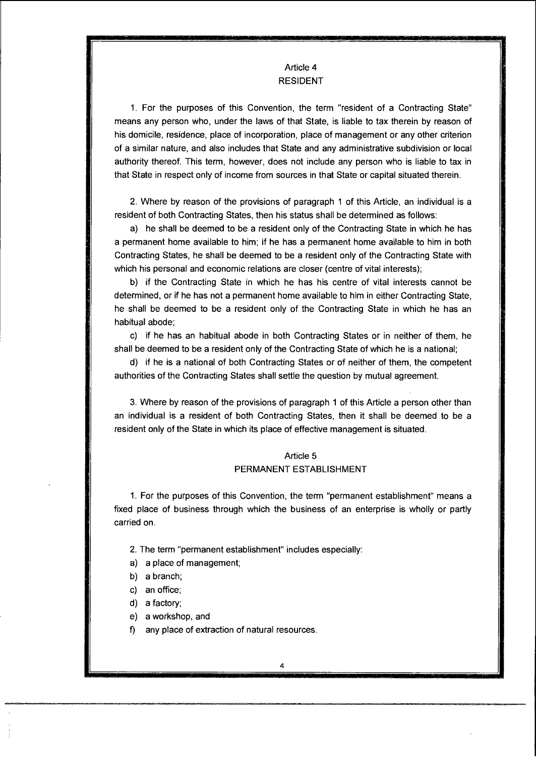# Article 4 RESIDENT

1. For the purposes of this Convention, the term "resident of a Contracting State" means any person who, under the laws of that State, is liable to tax therein by reason of his domicile, residence, place of incorporation, place of management or any other criterion of a similar nature, and also includes that State and any administrative subdivision or local authority thereof. This term, however, does not include any person who is liable to tax in that State in respect only of income from sources in that State or capital situated therein.

2. Where by reason of the provisions of paragraph 1 of this Article, an individual is a resident of both Contracting States, then his status shall be determined as follows:

a) he shall be deemed to be a resident only of the Contracting State in which he has a permanent home available to him; if he has a permanent home available to him in both Contracting States, he shall be deemed to be a resident only of the Contracting State with which his personal and economic relations are closer (centre of vital interests);

b) if the Contracting State in which he has his centre of vital interests cannot be determined, or if he has not a permanent home available to him in either Contracting State, he shall be deemed to be a resident only of the Contracting State in which he has an habitual abode;

c) if he has an habitual abode in both Contracting States or in neither of them, he shall be deemed to be a resident only of the Contracting State of which he is a national;

d) if he is a national of both Contracting States or of neither of them, the competent authorities of the Contracting States shall settle the question by mutual agreement.

3. Where by reason of the provisions of paragraph 1 of this Article a person other than an individual is a resident of both Contracting States, then it shall be deemed to be a resident only of the State in which its place of effective management is situated.

#### Article 5 PERMANENT ESTABLISHMENT

1. For the purposes of this Convention, the term "permanent establishment" means a fixed place of business through which the business of an enterprise is wholly or partly carried on.

2. The term "permanent establishment" includes especially:

- a) a place of management;
- b) a branch;
- c) an office;
- d) a factory;
- e) a workshop, and
- f) any place of extraction of natural resources.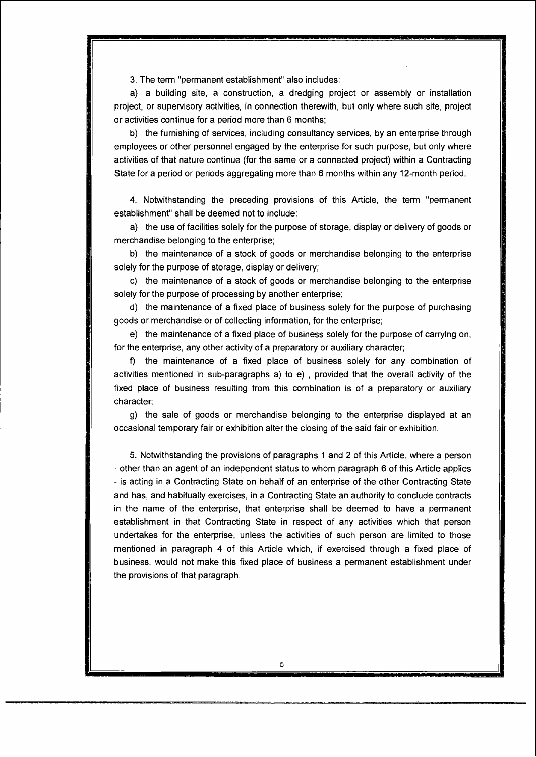3. The term "permanent establishment" also includes:

a) a building site, a construction, a dredging project or assembly or installation project, or supervisory activities, in connection therewith, but only where such site, project or activities continue for a period more than 6 months;

b) the furnishing of services, including consultancy services, by an enterprise through employees or other personnel engaged by the enterprise for such purpose, but only where activities of that nature continue (for the same or a connected project) within a Contracting State for a period or periods aggregating more than 6 months within any 12-month period.

4. Notwithstanding the preceding provisions of this Article, the term "permanent establishment" shall be deemed not to include:

a) the use of facilities solely for the purpose of storage, display or delivery of goods or merchandise belonging to the enterprise;

b) the maintenance of a stock of goods or merchandise belonging to the enterprise solely for the purpose of storage, display or delivery;

c) the maintenance of a stock of goods or merchandise belonging to the enterprise solely for the purpose of processing by another enterprise;

d) the maintenance of a fixed place of business solely for the purpose of purchasing goods or merchandise or of collecting information, for the enterprise;

e) the maintenance of a fixed place of business solely for the purpose of carrying on, for the enterprise, any other activity of a preparatory or auxiliary character;

f) the maintenance of a fixed place of business solely for any combination of activities mentioned in sub-paragraphs a) to e) , provided that the overall activity of the fixed place of business resulting from this combination is of a preparatory or auxiliary character;

g) the sale of goods or merchandise belonging to the enterprise displayed at an occasional temporary fair or exhibition alter the closing of the said fair or exhibition.

5. Notwithstanding the provisions of paragraphs 1 and 2 of this Article, where a person - other than an agent of an independent status to whom paragraph 6 of this Article applies - is acting in a Contracting State on behalf of an enterprise of the other Contracting State and has, and habitually exercises, in a Contracting State an authority to conclude contracts in the name of the enterprise, that enterprise shall be deemed to have a permanent establishment in that Contracting State in respect of any activities which that person undertakes for the enterprise, unless the activities of such person are limited to those mentioned in paragraph 4 of this Article which, if exercised through a fixed place of business, would not make this fixed place of business a permanent establishment under the provisions of that paragraph.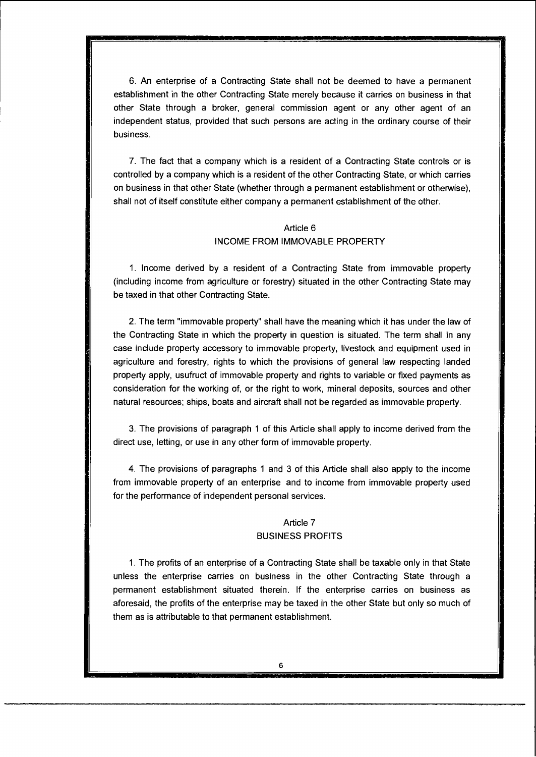6. An enterprise of a Contracting State shall not be deemed to have a permanent establishment in the other Contracting State merely because it carries on business in that other State through a broker, general commission agent or any other agent of an independent status, provided that such persons are acting in the ordinary course of their business.

7. The fact that a company which is a resident of a Contracting State controls or is controlled by a company which is a resident of the other Contracting State, or which carries on business in that other State (whether through a permanent establishment or otherwise), shall not of itself constitute either company a permanent establishment of the other.

# Article 6 INCOME FROM IMMOVABLE PROPERTY

1. Income derived by a resident of a Contracting State from immovable property (including income from agriculture or forestry) situated in the other Contracting State may be taxed in that other Contracting State.

2. The term "immovable property" shall have the meaning which it has under the law of the Contracting State in which the property in question is situated. The term shall in any case include property accessory to immovable property, livestock and equipment used in agriculture and forestry, rights to which the provisions of general law respecting landed property apply, usufruct of immovable property and rights to variable or fixed payments as consideration for the working of, or the right to work, mineral deposits, sources and other natural resources; ships, boats and aircraft shall not be regarded as immovable property.

3. The provisions of paragraph 1 of this Article shall apply to income derived from the direct use, letting, or use in any other form of immovable property.

4. The provisions of paragraphs 1 and 3 of this Article shall also apply to the income from immovable property of an enterprise and to income from immovable property used for the performance of independent personal services.

#### Article 7 BUSINESS PROFITS

1. The profits of an enterprise of a Contracting State shall be taxable only in that State unless the enterprise carries on business in the other Contracting State through a permanent establishment situated therein. If the enterprise carries on business as aforesaid, the profits of the enterprise may be taxed in the other State but only so much of them as is attributable to that permanent establishment.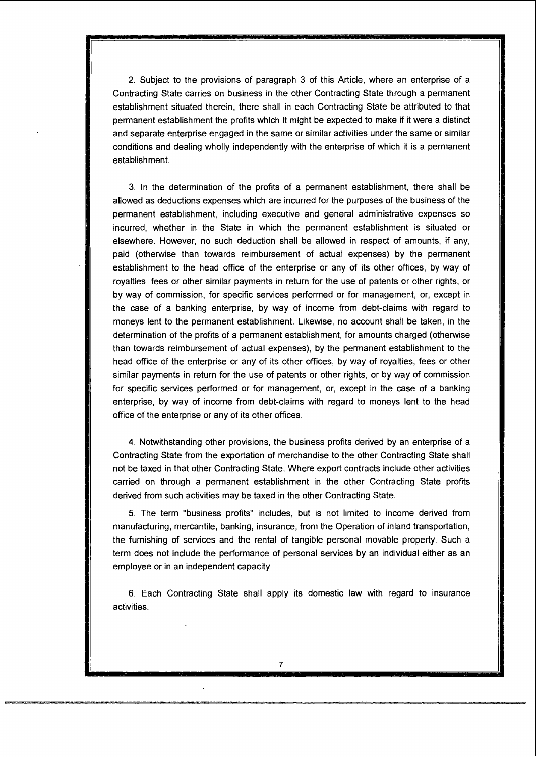2. Subject to the provisions of paragraph 3 of this Article, where an enterprise of a Contracting State carries on business in the other Contracting State through a permanent establishment situated therein, there shall in each Contracting State be attributed to that permanent establishment the profits which it might be expected to make if it were a distinct and separate enterprise engaged in the same or similar activities under the same or similar conditions and dealing wholly independently with the enterprise of which it is a permanent establishment.

3. In the determination of the profits of a permanent establishment, there shall be allowed as deductions expenses which are incurred for the purposes of the business of the permanent establishment, including executive and general administrative expenses so incurred, whether in the State in which the permanent establishment is situated or elsewhere. However, no such deduction shall be allowed in respect of amounts, if any, paid (otherwise than towards reimbursement of actual expenses) by the permanent establishment to the head office of the enterprise or any of its other offices, by way of royalties, fees or other similar payments in return for the use of patents or other rights, or by way of commission, for specific services performed or for management, or, except in the case of a banking enterprise, by way of income from debt-claims with regard to moneys lent to the permanent establishment. Likewise, no account shall be taken, in the determination of the profits of a permanent establishment, for amounts charged (otherwise than towards reimbursement of actual expenses), by the permanent establishment to the head office of the enterprise or any of its other offices, by way of royalties, fees or other similar payments in return for the use of patents or other rights, or by way of commission for specific services performed or for management, or, except in the case of a banking enterprise, by way of income from debt-claims with regard to moneys lent to the head office of the enterprise or any of its other offices.

4. Notwithstanding other provisions, the business profits derived by an enterprise of a Contracting State from the exportation of merchandise to the other Contracting State shall not be taxed in that other Contracting State. Where export contracts include other activities carried on through a permanent establishment in the other Contracting State profits derived from such activities may be taxed in the other Contracting State.

5. The term "business profits" includes, but is not limited to income derived from manufacturing, mercantile, banking, insurance, from the Operation of inland transportation, the furnishing of services and the rental of tangible personal movable property. Such a term does not include the performance of personal services by an individual either as an employee or in an independent capacity.

6. Each Contracting State shall apply its domestic law with regard to insurance activities.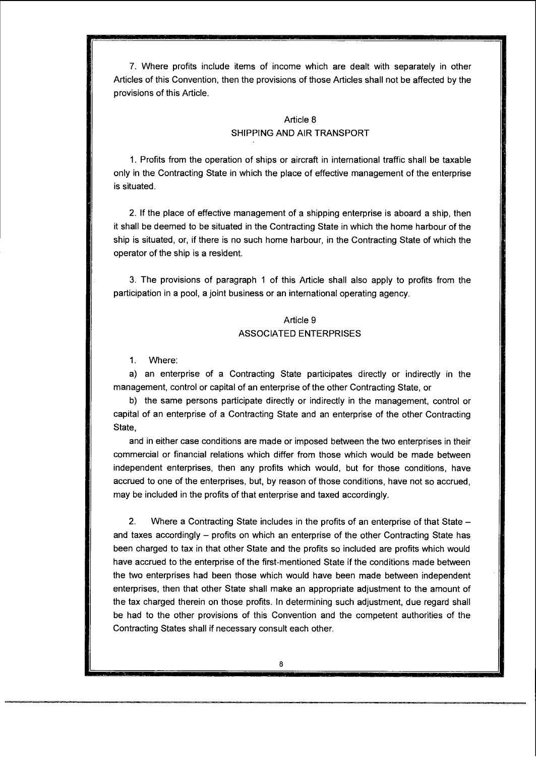7. Where profits include items of income which are dealt with separately in other Articles of this Convention, then the provisions of those Articles shall not be affected by the provisions of this Article.

# Article 8 SHIPPING AND AIR TRANSPORT

1. Profits from the operation of ships or aircraft in international traffic shall be taxable only in the Contracting State in which the place of effective management of the enterprise is situated.

2. If the place of effective management of a shipping enterprise is aboard a ship, then it shall be deemed to be situated in the Contracting State in which the home harbour of the ship is situated, or, if there is no such home harbour, in the Contracting State of which the operator of the ship is a resident.

3. The provisions of paragraph 1 of this Article shall also apply to profits from the participation in a pool, a joint business or an international operating agency.

# Article 9 ASSOCIATED ENTERPRISES

#### 1. Where:

a) an enterprise of a Contracting State participates directly or indirectly in the management, control or capital of an enterprise of the other Contracting State, or

b) the same persons participate directly or indirectly in the management, control or capital of an enterprise of a Contracting State and an enterprise of the other Contracting State,

and in either case conditions are made or imposed between the two enterprises in their commercial or financial relations which differ from those which would be made between independent enterprises, then any profits which would, but for those conditions, have accrued to one of the enterprises, but, by reason of those conditions, have not so accrued, may be included in the profits of that enterprise and taxed accordingly.

2. Where a Contracting State includes in the profits of an enterprise of that State and taxes accordingly — profits on which an enterprise of the other Contracting State has been charged to tax in that other State and the profits so included are profits which would have accrued to the enterprise of the first-mentioned State if the conditions made between the two enterprises had been those which would have been made between independent enterprises, then that other State shall make an appropriate adjustment to the amount of the tax charged therein on those profits. In determining such adjustment, due regard shall be had to the other provisions of this Convention and the competent authorities of the Contracting States shall if necessary consult each other.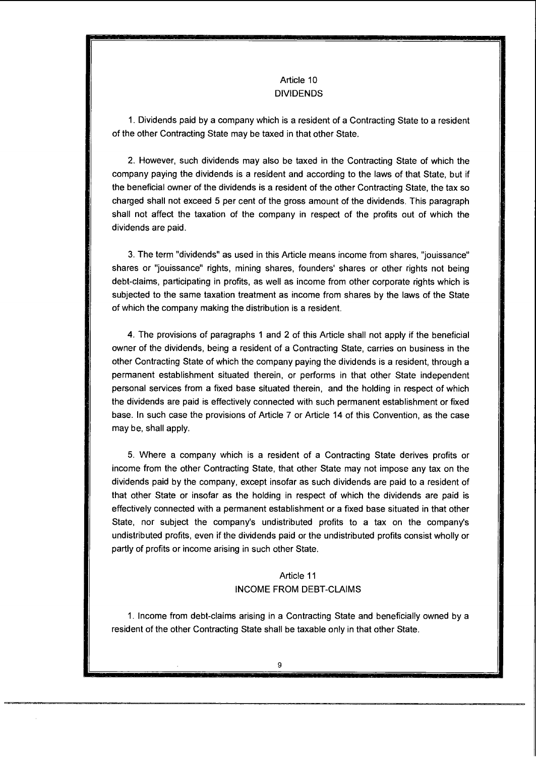# Article 10 DIVIDENDS

1. Dividends paid by a company which is a resident of a Contracting State to a resident of the other Contracting State may be taxed in that other State.

2. However, such dividends may also be taxed in the Contracting State of which the company paying the dividends is a resident and according to the laws of that State, but if the beneficial owner of the dividends is a resident of the other Contracting State, the tax so charged shall not exceed 5 per cent of the gross amount of the dividends. This paragraph shall not affect the taxation of the company in respect of the profits out of which the dividends are paid.

3.The term "dividends" as used in this Article means income from shares, "jouissance" shares or "jouissance" rights, mining shares, founders' shares or other rights not being debt-claims, participating in profits, as well as income from other corporate rights which is subjected to the same taxation treatment as income from shares by the laws of the State of which the company making the distribution is a resident.

4. The provisions of paragraphs 1 and 2 of this Article shall not apply if the beneficial owner of the dividends, being a resident of a Contracting State, carries on business in the other Contracting State of which the company paying the dividends is a resident, through a permanent establishment situated therein, or performs in that other State independent personal services from a fixed base situated therein, and the holding in respect of which the dividends are paid is effectively connected with such permanent establishment or fixed base. In such case the provisions of Article 7 or Article 14 of this Convention, as the case may be, shall apply.

5. Where a company which is a resident of a Contracting State derives profits or income from the other Contracting State, that other State may not impose any tax on the dividends paid by the company, except insofar as such dividends are paid to a resident of that other State or insofar as the holding in respect of which the dividends are paid is effectively connected with a permanent establishment or a fixed base situated in that other State, nor subject the company's undistributed profits to a tax on the company's undistributed profits, even if the dividends paid or the undistributed profits consist wholly or partly of profits or income arising in such other State.

### Article 11 INCOME FROM DEBT-CLAIMS

1. Income from debt-claims arising in a Contracting State and beneficially owned by a resident of the other Contracting State shall be taxable only in that other State.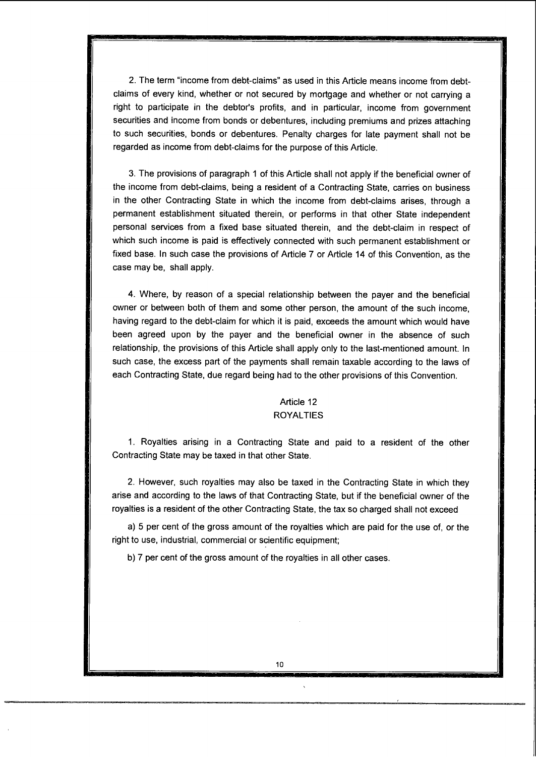2. The term "income from debt-claims" as used in this Article means income from debtclaims of every kind, whether or not secured by mortgage and whether or not carrying a right to participate in the debtor's profits, and in particular, income from government securities and income from bonds or debentures, including premiums and prizes attaching to such securities, bonds or debentures. Penalty charges for late payment shall not be regarded as income from debt-claims for the purpose of this Article.

3. The provisions of paragraph 1 of this Article shall not apply if the beneficial owner of the income from debt-claims, being a resident of a Contracting State, carries on business in the other Contracting State in which the income from debt-claims arises, through a permanent establishment situated therein, or performs in that other State independent personal services from a fixed base situated therein, and the debt-claim in respect of which such income is paid is effectively connected with such permanent establishment or fixed base. In such case the provisions of Article 7 or Article 14 of this Convention, as the case may be, shall apply.

4. Where, by reason of a special relationship between the payer and the beneficial owner or between both of them and some other person, the amount of the such income, having regard to the debt-claim for which it is paid, exceeds the amount which would have been agreed upon by the payer and the beneficial owner in the absence of such relationship, the provisions of this Article shall apply only to the last-mentioned amount. In such case, the excess part of the payments shall remain taxable according to the laws of each Contracting State, due regard being had to the other provisions of this Convention.

# Article 12 ROYALTIES

1. Royalties arising in a Contracting State and paid to a resident of the other Contracting State may be taxed in that other State.

2. However, such royalties may also be taxed in the Contracting State in which they arise and according to the laws of that Contracting State, but if the beneficial owner of the royalties is a resident of the other Contracting State, the tax so charged shall not exceed

a) 5 per cent of the gross amount of the royalties which are paid for the use of, or the right to use, industrial, commercial or scientific equipment;

b) 7 per cent of the gross amount of the royalties in all other cases.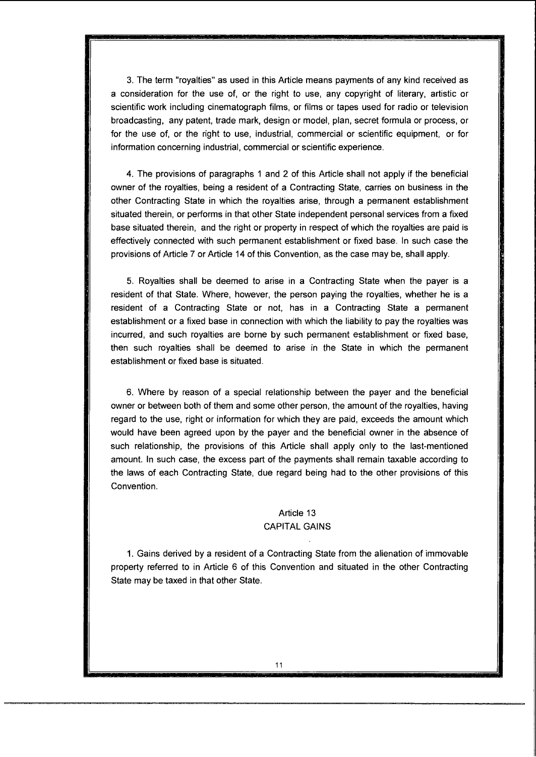3. The term "royalties" as used in this Article means payments of any kind received as a consideration for the use of, or the right to use, any copyright of literary, artistic or scientific work including cinematograph films, or films or tapes used for radio or television broadcasting, any patent, trade mark, design or model, plan, secret formula or process, or for the use of, or the right to use, industrial, commercial or scientific equipment, or for information concerning industrial, commercial or scientific experience.

4. The provisions of paragraphs 1 and 2 of this Article shall not apply if the beneficial owner of the royalties, being a resident of a Contracting State, carries on business in the other Contracting State in which the royalties arise, through a permanent establishment situated therein, or performs in that other State independent personal services from a fixed base situated therein, and the right or property in respect of which the royalties are paid is effectively connected with such permanent establishment or fixed base. In such case the provisions of Article 7 or Article 14 of this Convention, as the case may be, shall apply.

5. Royalties shall be deemed to arise in a Contracting State when the payer is a resident of that State. Where, however, the person paying the royalties, whether he is a resident of a Contracting State or not, has in a Contracting State a permanent establishment or a fixed base in connection with which the liability to pay the royalties was incurred, and such royalties are borne by such permanent establishment or fixed base, then such royalties shall be deemed to arise in the State in which the permanent establishment or fixed base is situated.

6. Where by reason of a special relationship between the payer and the beneficial owner or between both of them and some other person, the amount of the royalties, having regard to the use, right or information for which they are paid, exceeds the amount which would have been agreed upon by the payer and the beneficial owner in the absence of such relationship, the provisions of this Article shall apply only to the last-mentioned amount. In such case, the excess part of the payments shall remain taxable according to the laws of each Contracting State, due regard being had to the other provisions of this Convention.

# Article 13 CAPITAL GAINS

1. Gains derived by a resident of a Contracting State from the alienation of immovable property referred to in Article 6 of this Convention and situated in the other Contracting State may be taxed in that other State.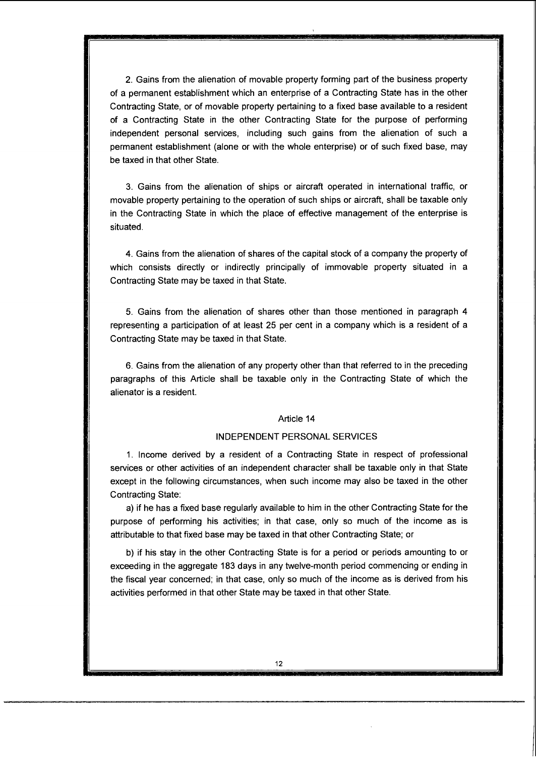2. Gains from the alienation of movable property forming part of the business property of a permanent establishment which an enterprise of a Contracting State has in the other Contracting State, or of movable property pertaining to a fixed base available to a resident of a Contracting State in the other Contracting State for the purpose of performing independent personal services, including such gains from the alienation of such a permanent establishment (alone or with the whole enterprise) or of such fixed base, may be taxed in that other State.

3. Gains from the alienation of ships or aircraft operated in international traffic, or movable property pertaining to the operation of such ships or aircraft, shall be taxable only in the Contracting State in which the place of effective management of the enterprise is situated.

4. Gains from the alienation of shares of the capital stock of a company the property of which consists directly or indirectly principally of immovable property situated in a Contracting State may be taxed in that State.

5. Gains from the alienation of shares other than those mentioned in paragraph 4 representing a participation of at least 25 per cent in a company which is a resident of a Contracting State may be taxed in that State.

6. Gains from the alienation of any property other than that referred to in the preceding paragraphs of this Article shall be taxable only in the Contracting State of which the alienator is a resident.

#### Article 14

#### INDEPENDENT PERSONAL SERVICES

1. Income derived by a resident of a Contracting State in respect of professional services or other activities of an independent character shall be taxable only in that State except in the following circumstances, when such income may also be taxed in the other Contracting State:

a) if he has a fixed base regularly available to him in the other Contracting State for the purpose of performing his activities; in that case, only so much of the income as is attributable to that fixed base may be taxed in that other Contracting State; or

b) if his stay in the other Contracting State is for a period or periods amounting to or exceeding in the aggregate 183 days in any twelve-month period commencing or ending in the fiscal year concerned; in that case, only so much of the income as is derived from his activities performed in that other State may be taxed in that other State.

misse mi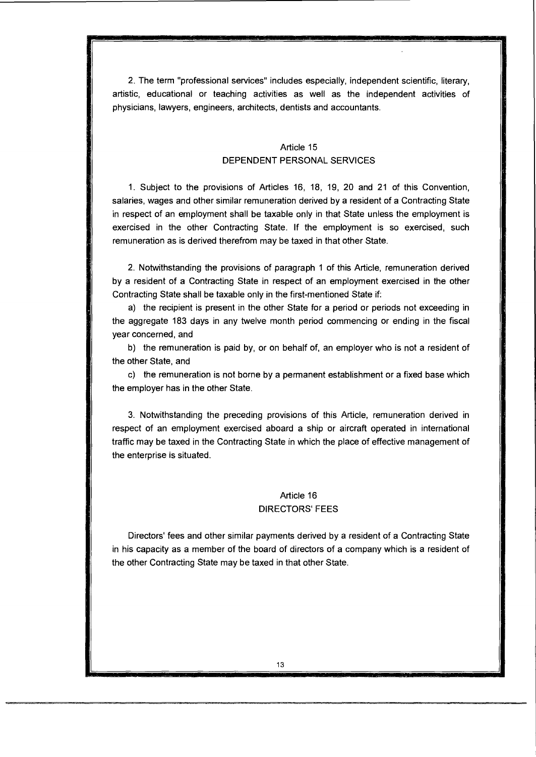2. The term "professional services" includes especially, independent scientific, literary, artistic, educational or teaching activities as well as the independent activities of physicians, lawyers, engineers, architects, dentists and accountants.

### Article 15 DEPENDENT PERSONAL SERVICES

1. Subject to the provisions of Articles 16, 18, 19, 20 and 21 of this Convention, salaries, wages and other similar remuneration derived by a resident of a Contracting State in respect of an employment shall be taxable only in that State unless the employment is exercised in the other Contracting State. If the employment is so exercised, such remuneration as is derived therefrom may be taxed in that other State.

2. Notwithstanding the provisions of paragraph 1 of this Article, remuneration derived by a resident of a Contracting State in respect of an employment exercised in the other Contracting State shall be taxable only in the first-mentioned State if:

a) the recipient is present in the other State for a period or periods not exceeding in the aggregate 183 days in any twelve month period commencing or ending in the fiscal year concerned, and

b) the remuneration is paid by, or on behalf of, an employer who is not a resident of the other State, and

c) the remuneration is not borne by a permanent establishment or a fixed base which the employer has in the other State.

3. Notwithstanding the preceding provisions of this Article, remuneration derived in respect of an employment exercised aboard a ship or aircraft operated in international traffic may be taxed in the Contracting State in which the place of effective management of the enterprise is situated.

#### Article 16 DIRECTORS' FEES

Directors' fees and other similar payments derived by a resident of a Contracting State in his capacity as a member of the board of directors of a company which is a resident of the other Contracting State may be taxed in that other State.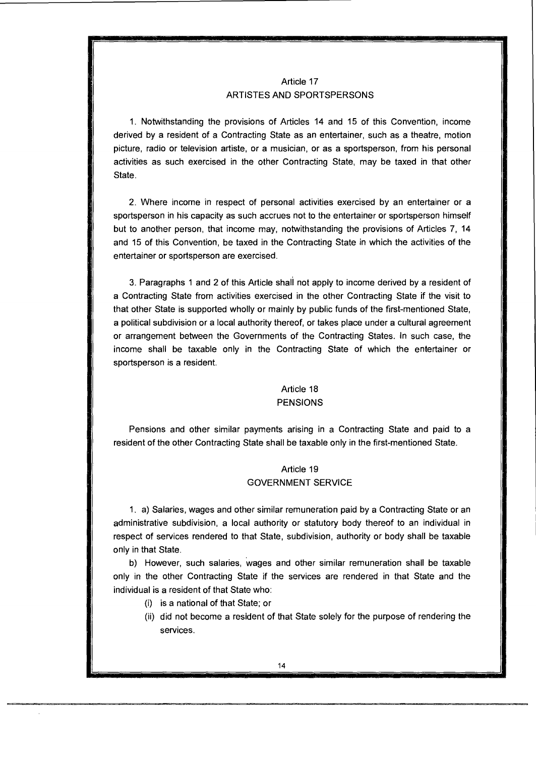## Article 17 ARTISTES AND SPORTSPERSONS

N

1. Notwithstanding the provisions of Articles 14 and 15 of this Convention, income derived by a resident of a Contracting State as an entertainer, such as a theatre, motion picture, radio or television artiste, or a musician, or as a sportsperson, from his personal activities as such exercised in the other Contracting State, may be taxed in that other State.

2. Where income in respect of personal activities exercised by an entertainer or a sportsperson in his capacity as such accrues not to the entertainer or sportsperson himself but to another person, that income may, notwithstanding the provisions of Articles 7, 14 and 15 of this Convention, be taxed in the Contracting State in which the activities of the entertainer or sportsperson are exercised.

3. Paragraphs 1 and 2 of this Article shall not apply to income derived by a resident of a Contracting State from activities exercised in the other Contracting State if the visit to that other State is supported wholly or mainly by public funds of the first-mentioned State, a political subdivision or a local authority thereof, or takes place under a cultural agreement or arrangement between the Governments of the Contracting States. In such case, the income shall be taxable only in the Contracting State of which the entertainer or sportsperson is a resident.

# Article 18 PENSIONS

Pensions and other similar payments arising in a Contracting State and paid to a resident of the other Contracting State shall be taxable only in the first-mentioned State.

# Article 19 GOVERNMENT SERVICE

1. a) Salaries, wages and other similar remuneration paid by a Contracting State or an administrative subdivision, a local authority or statutory body thereof to an individual in respect of services rendered to that State, subdivision, authority or body shall be taxable only in that State.

b) However, such salaries, wages and other similar remuneration shall be taxable only in the other Contracting State if the services are rendered in that State and the individual is a resident of that State who:

- (i) is a national of that State; or
- (ii) did not become a resident of that State solely for the purpose of rendering the services.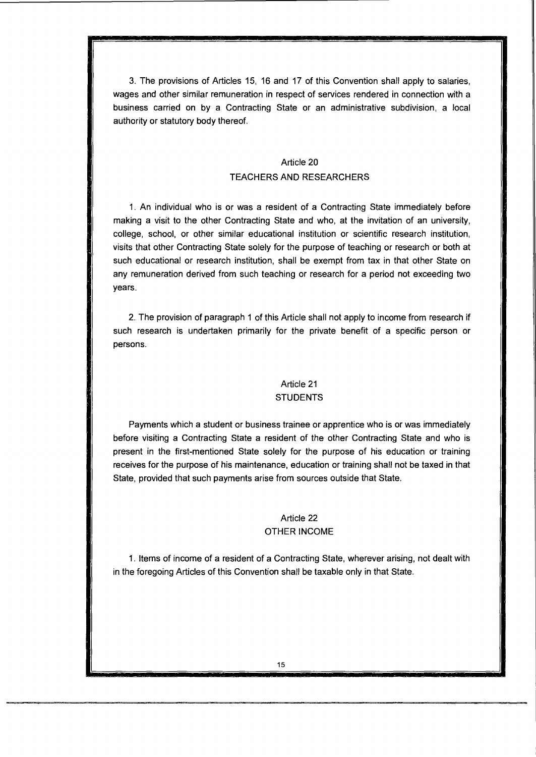3. The provisions of Articles 15, 16 and 17 of this Convention shall apply to salaries, wages and other similar remuneration in respect of services rendered in connection with a business carried on by a Contracting State or an administrative subdivision, a local authority or statutory body thereof.

# Article 20 TEACHERS AND RESEARCHERS

1. An individual who is or was a resident of a Contracting State immediately before making a visit to the other Contracting State and who, at the invitation of an university, college, school, or other similar educational institution or scientific research institution, visits that other Contracting State solely for the purpose of teaching or research or both at such educational or research institution, shall be exempt from tax in that other State on any remuneration derived from such teaching or research for a period not exceeding two years.

2. The provision of paragraph 1 of this Article shall not apply to income from research if such research is undertaken primarily for the private benefit of a specific person or persons.

### Article 21 **STUDENTS**

Payments which a student or business trainee or apprentice who is or was immediately before visiting a Contracting State a resident of the other Contracting State and who is present in the first-mentioned State solely for the purpose of his education or training receives for the purpose of his maintenance, education or training shall not be taxed in that State, provided that such payments arise from sources outside that State.

# Article 22 OTHER INCOME

1. Items of income of a resident of a Contracting State, wherever arising, not dealt with in the foregoing Articles of this Convention shall be taxable only in that State.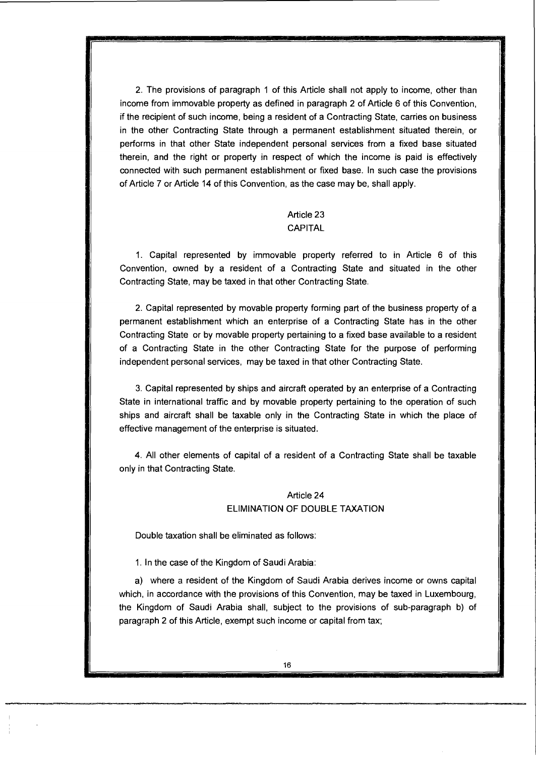2. The provisions of paragraph 1 of this Article shall not apply to income, other than income from immovable property as defined in paragraph 2 of Article 6 of this Convention, if the recipient of such income, being a resident of a Contracting State, carries on business in the other Contracting State through a permanent establishment situated therein, or performs in that other State independent personal services from a fixed base situated therein, and the right or property in respect of which the income is paid is effectively connected with such permanent establishment or fixed base. In such case the provisions of Article 7 or Article 14 of this Convention, as the case may be, shall apply.

#### Article 23 **CAPITAL**

1. Capital represented by immovable property referred to in Article 6 of this Convention, owned by a resident of a Contracting State and situated in the other Contracting State, may be taxed in that other Contracting State.

2. Capital represented by movable property forming part of the business property of a permanent establishment which an enterprise of a Contracting State has in the other Contracting State or by movable property pertaining to a fixed base available to a resident of a Contracting State in the other Contracting State for the purpose of performing independent personal services, may be taxed in that other Contracting State.

3. Capital represented by ships and aircraft operated by an enterprise of a Contracting State in international traffic and by movable property pertaining to the operation of such ships and aircraft shall be taxable only in the Contracting State in which the place of effective management of the enterprise is situated.

4. All other elements of capital of a resident of a Contracting State shall be taxable only in that Contracting State.

# Article 24 ELIMINATION OF DOUBLE TAXATION

Double taxation shall be eliminated as follows:

1. In the case of the Kingdom of Saudi Arabia:

a) where a resident of the Kingdom of Saudi Arabia derives income or owns capital which, in accordance with the provisions of this Convention, may be taxed in Luxembourg, the Kingdom of Saudi Arabia shall, subject to the provisions of sub-paragraph b) of paragraph 2 of this Article, exempt such income or capital from tax;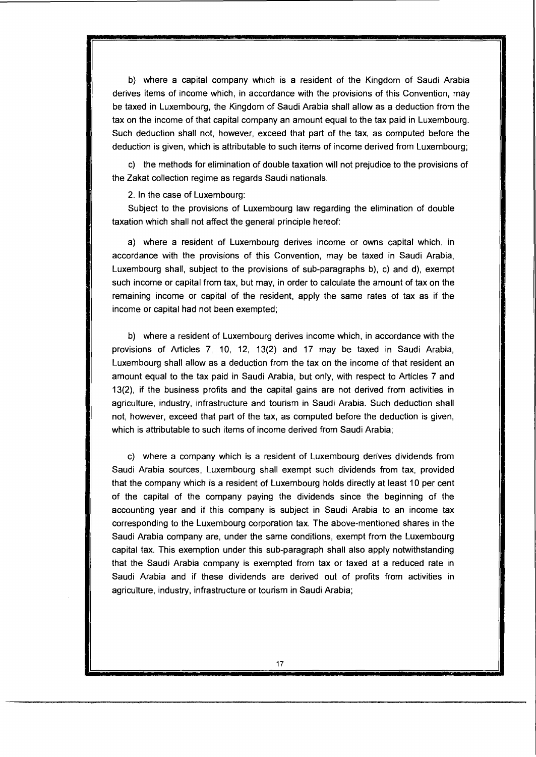b) where a capital company which is a resident of the Kingdom of Saudi Arabia derives items of income which, in accordance with the provisions of this Convention, may be taxed in Luxembourg, the Kingdom of Saudi Arabia shall allow as a deduction from the tax on the income of that capital company an amount equal to the tax paid in Luxembourg. Such deduction shall not, however, exceed that part of the tax, as computed before the deduction is given, which is attributable to such items of income derived from Luxembourg;

c) the methods for elimination of double taxation will not prejudice to the provisions of the Zakat collection regime as regards Saudi nationals.

2. In the case of Luxembourg:

Subject to the provisions of Luxembourg law regarding the elimination of double taxation which shall not affect the general principle hereof:

a) where a resident of Luxembourg derives income or owns capital which, in accordance with the provisions of this Convention, may be taxed in Saudi Arabia, Luxembourg shall, subject to the provisions of sub-paragraphs b), c) and d), exempt such income or capital from tax, but may, in order to calculate the amount of tax on the remaining income or capital of the resident, apply the same rates of tax as if the income or capital had not been exempted;

b) where a resident of Luxembourg derives income which, in accordance with the provisions of Articles 7, 10, 12, 13(2) and 17 may be taxed in Saudi Arabia, Luxembourg shall allow as a deduction from the tax on the income of that resident an amount equal to the tax paid in Saudi Arabia, but only, with respect to Articles 7 and 13(2), if the business profits and the capital gains are not derived from activities in agriculture, industry, infrastructure and tourism in Saudi Arabia. Such deduction shall not, however, exceed that part of the tax, as computed before the deduction is given, which is attributable to such items of income derived from Saudi Arabia;

c) where a company which is a resident of Luxembourg derives dividends from Saudi Arabia sources, Luxembourg shall exempt such dividends from tax, provided that the company which is a resident of Luxembourg holds directly at least 10 per cent of the capital of the company paying the dividends since the beginning of the accounting year and if this company is subject in Saudi Arabia to an income tax corresponding to the Luxembourg corporation tax. The above-mentioned shares in the Saudi Arabia company are, under the same conditions, exempt from the Luxembourg capital tax. This exemption under this sub-paragraph shall also apply notwithstanding that the Saudi Arabia company is exempted from tax or taxed at a reduced rate in Saudi Arabia and if these dividends are derived out of profits from activities in agriculture, industry, infrastructure or tourism in Saudi Arabia;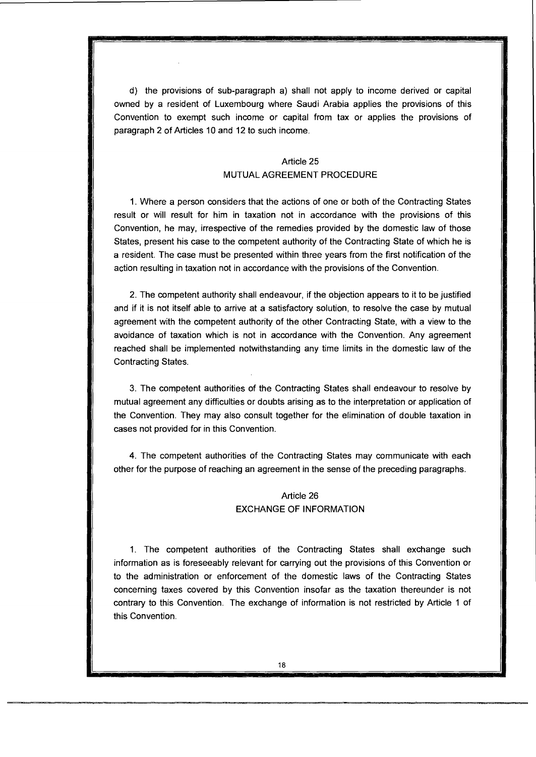d) the provisions of sub-paragraph a) shall not apply to income derived or capital owned by a resident of Luxembourg where Saudi Arabia applies the provisions of this Convention to exempt such income or capital from tax or applies the provisions of paragraph 2 of Articles 10 and 12 to such income.

#### Article 25 MUTUAL AGREEMENT PROCEDURE

1.Where a person considers that the actions of one or both of the Contracting States result or will result for him in taxation not in accordance with the provisions of this Convention, he may, irrespective of the remedies provided by the domestic law of those States, present his case to the competent authority of the Contracting State of which he is a resident. The case must be presented within three years from the first notification of the action resulting in taxation not in accordance with the provisions of the Convention.

2. The competent authority shall endeavour, if the objection appears to it to be justified and if it is not itself able to arrive at a satisfactory solution, to resolve the case by mutual agreement with the competent authority of the other Contracting State, with a view to the avoidance of taxation which is not in accordance with the Convention. Any agreement reached shall be implemented notwithstanding any time limits in the domestic law of the Contracting States.

3. The competent authorities of the Contracting States shall endeavour to resolve by mutual agreement any difficulties or doubts arising as to the interpretation or application of the Convention. They may also consult together for the elimination of double taxation in cases not provided for in this Convention.

4. The competent authorities of the Contracting States may communicate with each other for the purpose of reaching an agreement in the sense of the preceding paragraphs.

### Article 26 EXCHANGE OF INFORMATION

1. The competent authorities of the Contracting States shall exchange such information as is foreseeably relevant for carrying out the provisions of this Convention or to the administration or enforcement of the domestic laws of the Contracting States concerning taxes covered by this Convention insofar as the taxation thereunder is not contrary to this Convention. The exchange of information is not restricted by Article 1 of this Convention.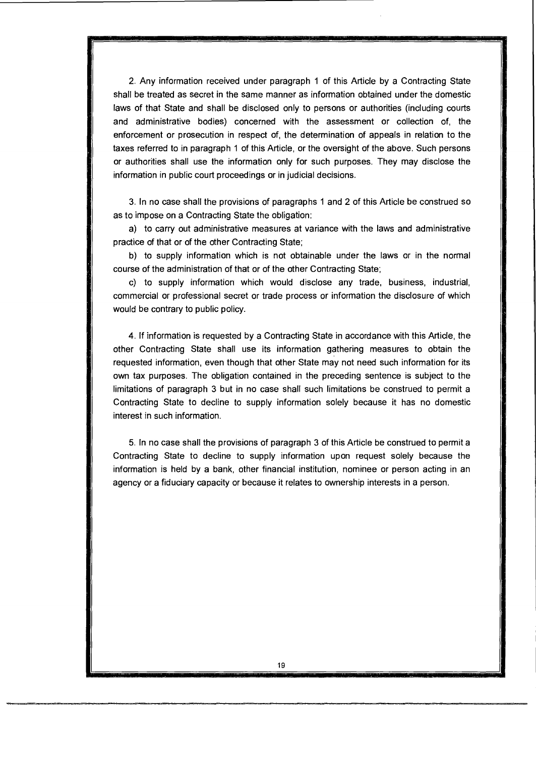2. Any information received under paragraph 1 of this Article by a Contracting State shall be treated as secret in the same manner as information obtained under the domestic laws of that State and shall be disclosed only to persons or authorities (including courts and administrative bodies) concerned with the assessment or collection of, the enforcement or prosecution in respect of, the determination of appeals in relation to the taxes referred to in paragraph 1 of this Article, or the oversight of the above. Such persons or authorities shall use the information only for such purposes. They may disclose the information in public court proceedings or in judicial decisions.

3. In no case shall the provisions of paragraphs 1 and 2 of this Article be construed so as to impose on a Contracting State the obligation:

a) to carry out administrative measures at variance with the laws and administrative practice of that or of the other Contracting State;

b) to supply information which is not obtainable under the laws or in the normal course of the administration of that or of the other Contracting State;

c) to supply information which would disclose any trade, business, industrial, commercial or professional secret or trade process or information the disclosure of which would be contrary to public policy.

4. If information is requested by a Contracting State in accordance with this Article, the other Contracting State shall use its information gathering measures to obtain the requested information, even though that other State may not need such information for its own tax purposes. The obligation contained in the preceding sentence is subject to the limitations of paragraph 3 but in no case shall such limitations be construed to permit a Contracting State to decline to supply information solely because it has no domestic interest in such information.

5. In no case shall the provisions of paragraph 3 of this Article be construed to permit a Contracting State to decline to supply information upon request solely because the information is held by a bank, other financial institution, nominee or person acting in an agency or a fiduciary capacity or because it relates to ownership interests in a person.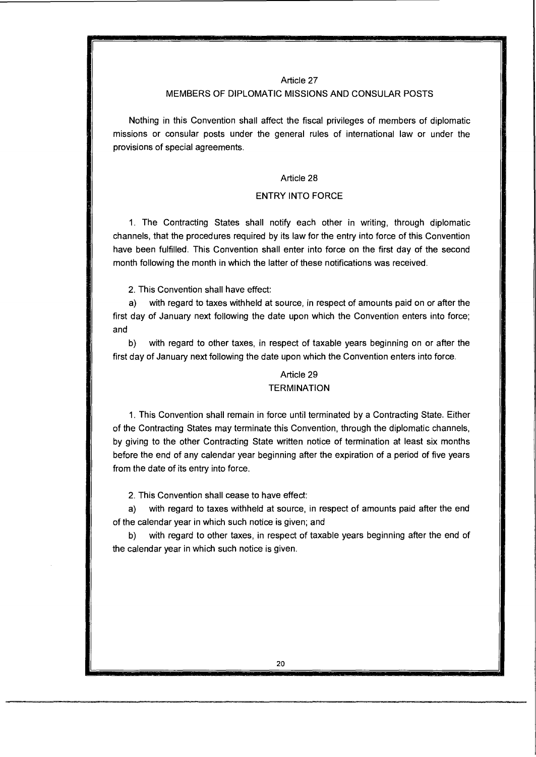#### Article 27

#### MEMBERS OF DIPLOMATIC MISSIONS AND CONSULAR POSTS

Nothing in this Convention shall affect the fiscal privileges of members of diplomatic missions or consular posts under the general rules of international law or under the provisions of special agreements.

#### Article 28

#### ENTRY INTO FORCE

1. The Contracting States shall notify each other in writing, through diplomatic channels, that the procedures required by its law for the entry into force of this Convention have been fulfilled. This Convention shall enter into force on the first day of the second month following the month in which the latter of these notifications was received.

2. This Convention shall have effect:

a) with regard to taxes withheld at source, in respect of amounts paid on or after the first day of January next following the date upon which the Convention enters into force; and

b) with regard to other taxes, in respect of taxable years beginning on or after the first day of January next following the date upon which the Convention enters into force.

#### Article 29 **TERMINATION**

1.This Convention shall remain in force until terminated by a Contracting State. Either of the Contracting States may terminate this Convention, through the diplomatic channels, by giving to the other Contracting State written notice of termination at least six months before the end of any calendar year beginning after the expiration of a period of five years from the date of its entry into force.

2. This Convention shall cease to have effect:

a) with regard to taxes withheld at source, in respect of amounts paid after the end of the calendar year in which such notice is given; and

b) with regard to other taxes, in respect of taxable years beginning after the end of the calendar year in which such notice is given.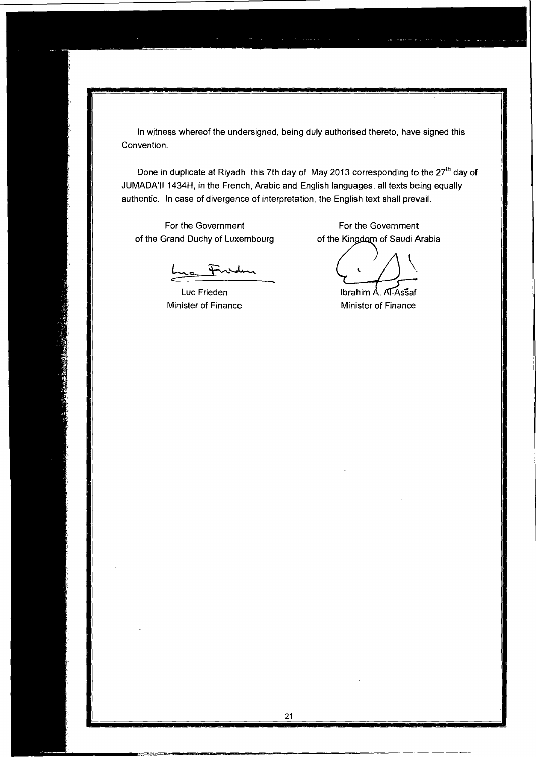In witness whereof the undersigned, being duly authorised thereto, have signed this Convention.

Done in duplicate at Riyadh this 7th day of May 2013 corresponding to the 27<sup>th</sup> day of JUMADA'll 1434H, in the French, Arabic and English languages, all texts being equally authentic. In case of divergence of interpretation, the English text shall prevail.

For the Government For the Government of the Grand Duchy of Luxembourg of the Kingdom of Saudi Arabia

Fridan

Luc Frieden **Ibrahim A.** Al-Assaf

Minister of Finance Minister of Finance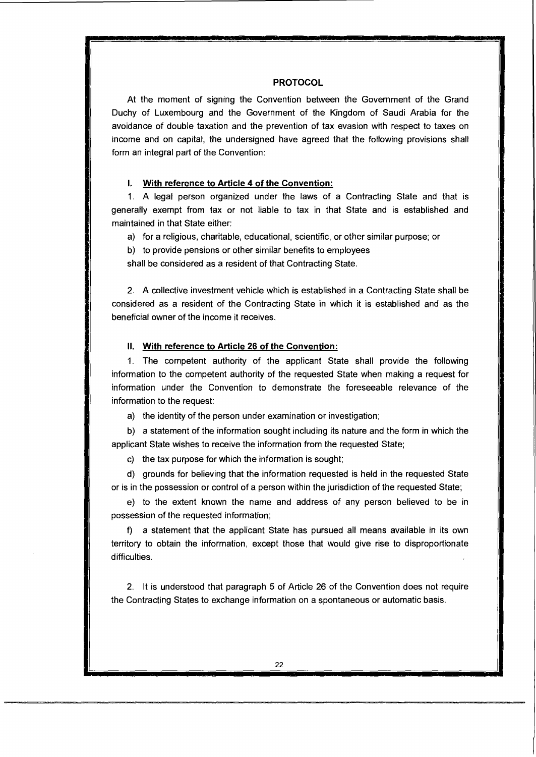#### **PROTOCOL**

At the moment of signing the Convention between the Government of the Grand Duchy of Luxembourg and the Government of the Kingdom of Saudi Arabia for the avoidance of double taxation and the prevention of tax evasion with respect to taxes on income and on capital, the undersigned have agreed that the following provisions shall form an integral part of the Convention:

#### **I. With reference to Article 4 of the Convention:**

1. A legal person organized under the laws of a Contracting State and that is generally exempt from tax or not liable to tax in that State and is established and maintained in that State either:

a) for a religious, charitable, educational, scientific, or other similar purpose; or

b) to provide pensions or other similar benefits to employees

shall be considered as a resident of that Contracting State.

2. A collective investment vehicle which is established in a Contracting State shall be considered as a resident of the Contracting State in which it is established and as the beneficial owner of the income it receives.

#### **Il. With reference to Article 26 of the Convention:**

1. The competent authority of the applicant State shall provide the following information to the competent authority of the requested State when making a request for information under the Convention to demonstrate the foreseeable relevance of the information to the request:

a) the identity of the person under examination or investigation;

b) a statement of the information sought including its nature and the form in which the applicant State wishes to receive the information from the requested State;

c) the tax purpose for which the information is sought;

d) grounds for believing that the information requested is held in the requested State or is in the possession or control of a person within the jurisdiction of the requested State;

e) to the extent known the name and address of any person believed to be in possession of the requested information;

a statement that the applicant State has pursued all means available in its own territory to obtain the information, except those that would give rise to disproportionate difficulties.

2. It is understood that paragraph 5 of Article 26 of the Convention does not require the Contracting States to exchange information on a spontaneous or automatic basis.